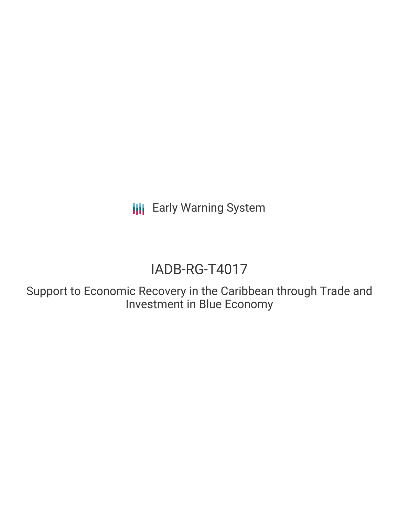**III** Early Warning System

# IADB-RG-T4017

Support to Economic Recovery in the Caribbean through Trade and Investment in Blue Economy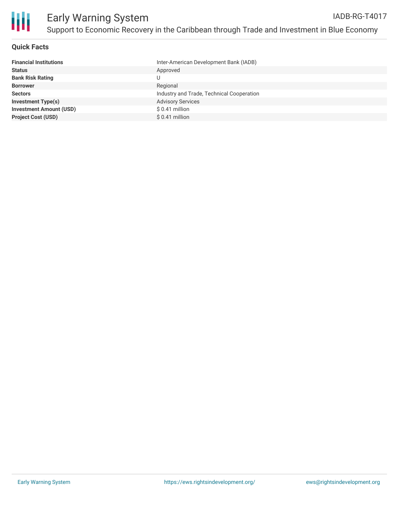

### **Quick Facts**

| <b>Financial Institutions</b>  | Inter-American Development Bank (IADB)    |
|--------------------------------|-------------------------------------------|
| <b>Status</b>                  | Approved                                  |
| <b>Bank Risk Rating</b>        |                                           |
| <b>Borrower</b>                | Regional                                  |
| <b>Sectors</b>                 | Industry and Trade, Technical Cooperation |
| <b>Investment Type(s)</b>      | <b>Advisory Services</b>                  |
| <b>Investment Amount (USD)</b> | $$0.41$ million                           |
| <b>Project Cost (USD)</b>      | $$0.41$ million                           |
|                                |                                           |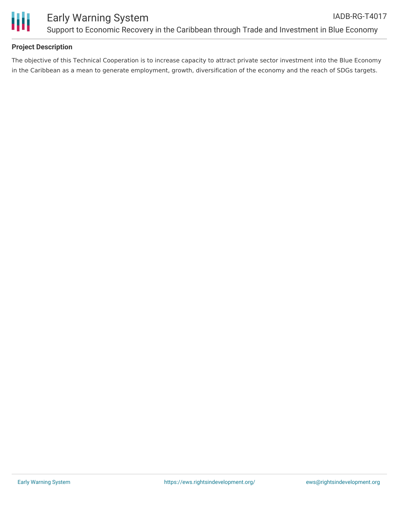

## **Project Description**

The objective of this Technical Cooperation is to increase capacity to attract private sector investment into the Blue Economy in the Caribbean as a mean to generate employment, growth, diversification of the economy and the reach of SDGs targets.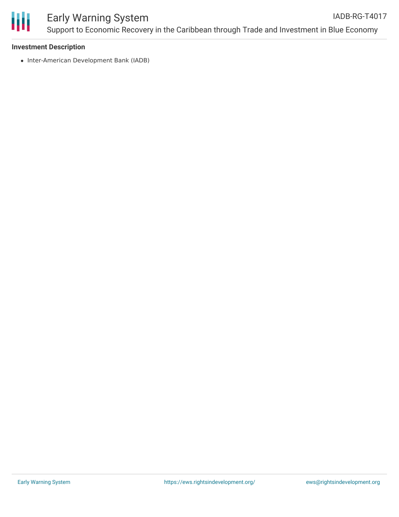

### Early Warning System Support to Economic Recovery in the Caribbean through Trade and Investment in Blue Economy IADB-RG-T4017

#### **Investment Description**

• Inter-American Development Bank (IADB)